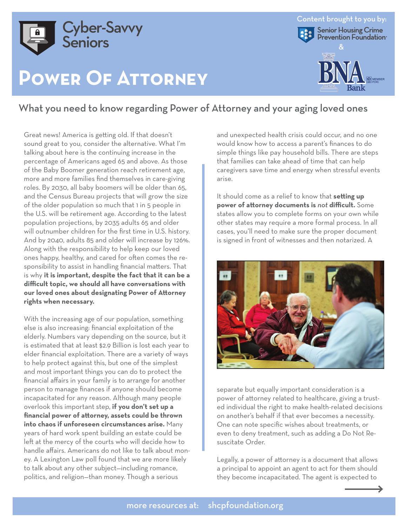

## **Power Of Attorney**



### What you need to know regarding Power of Attorney and your aging loved ones

Great news! America is getting old. If that doesn't sound great to you, consider the alternative. What I'm talking about here is the continuing increase in the percentage of Americans aged 65 and above. As those of the Baby Boomer generation reach retirement age, more and more families find themselves in care-giving roles. By 2030, all baby boomers will be older than 65, and the Census Bureau projects that will grow the size of the older population so much that 1 in 5 people in the U.S. will be retirement age. According to the latest population projections, by 2035 adults 65 and older will outnumber children for the first time in U.S. history. And by 2040, adults 85 and older will increase by 126%. Along with the responsibility to help keep our loved ones happy, healthy, and cared for often comes the responsibility to assist in handling financial matters. That is why **it is important, despite the fact that it can be a difficult topic, we should all have conversations with our loved ones about designating Power of Attorney rights when necessary.**

With the increasing age of our population, something else is also increasing: financial exploitation of the elderly. Numbers vary depending on the source, but it is estimated that at least \$2.9 Billion is lost each year to elder financial exploitation. There are a variety of ways to help protect against this, but one of the simplest and most important things you can do to protect the financial affairs in your family is to arrange for another person to manage finances if anyone should become incapacitated for any reason. Although many people overlook this important step, **if you don't set up a financial power of attorney, assets could be thrown into chaos if unforeseen circumstances arise.** Many years of hard work spent building an estate could be left at the mercy of the courts who will decide how to handle affairs. Americans do not like to talk about money. A Lexington Law poll found that we are more likely to talk about any other subject—including romance, politics, and religion—than money. Though a serious

and unexpected health crisis could occur, and no one would know how to access a parent's finances to do simple things like pay household bills. There are steps that families can take ahead of time that can help caregivers save time and energy when stressful events arise.

It should come as a relief to know that **setting up power of attorney documents is** *not* **difficult.** Some states allow you to complete forms on your own while other states may require a more formal process. In all cases, you'll need to make sure the proper document is signed in front of witnesses and then notarized. A



separate but equally important consideration is a power of attorney related to healthcare, giving a trusted individual the right to make health-related decisions on another's behalf if that ever becomes a necessity. One can note specific wishes about treatments, or even to deny treatment, such as adding a Do Not Resuscitate Order.

Legally, a power of attorney is a document that allows a principal to appoint an agent to act for them should they become incapacitated. The agent is expected to